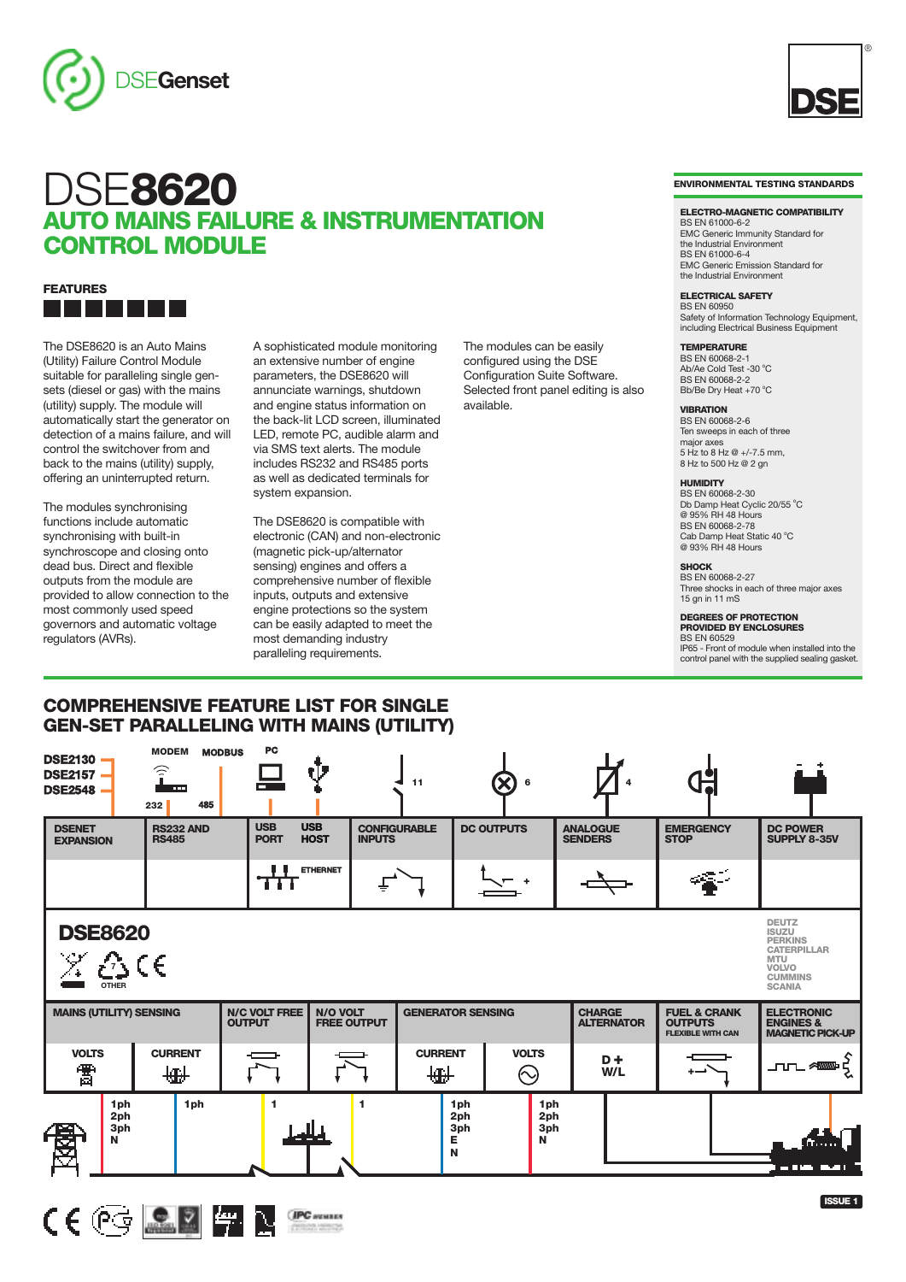





The DSE8620 is an Auto Mains (Utility) Failure Control Module suitable for paralleling single gensets (diesel or gas) with the mains (utility) supply. The module will automatically start the generator on detection of a mains failure, and will control the switchover from and back to the mains (utility) supply, offering an uninterrupted return.

The modules synchronising functions include automatic synchronising with built-in synchroscope and closing onto dead bus. Direct and flexible outputs from the module are provided to allow connection to the most commonly used speed governors and automatic voltage regulators (AVRs).

A sophisticated module monitoring an extensive number of engine parameters, the DSE8620 will annunciate warnings, shutdown and engine status information on the back-lit LCD screen, illuminated LED, remote PC, audible alarm and via SMS text alerts. The module includes RS232 and RS485 ports as well as dedicated terminals for system expansion.

The DSE8620 is compatible with electronic (CAN) and non-electronic (magnetic pick-up/alternator sensing) engines and offers a comprehensive number of flexible inputs, outputs and extensive engine protections so the system can be easily adapted to meet the most demanding industry paralleling requirements.

configured using the DSE Configuration Suite Software. Selected front panel editing is also available.

The modules can be easily

**VIBRATION** BS EN 60068-2-6 Ten sweeps in each of three major axes  $5 Hz$  to  $8 Hz \text{ @ } +/-7.5$  mm 8 Hz to 500 Hz @ 2 gn

### **HUMIDITY**

BS EN 60068-2-30 Db Damp Heat Cyclic 20/55 °C  $@95\%$  RH 48 Hours BS EN 60068-2-78 Cab Damp Heat Static 40 °C<br>@ 93% RH 48 Hours

# **SHOCK** BS EN 60068-2-27

Three shocks in each of three major axes 15 gn in 11 mS

# **DEGREES OF PROTECTION PROVIDED BY ENCLOSURES**

BS EN 60529

IP65 - Front of module when installed into the control panel with the supplied sealing gasket.

# **COMPREHENSIVE FEATURE LIST FOR SINGLE GEN-SET PARALLELING WITH MAINS (UTILITY)**

| <b>DSE2130</b><br><b>DSE2157</b><br><b>DSE2548</b>                 | <b>MODEM</b><br>$\widehat{\mathbf{r}}$<br><b>COL</b><br>485<br>232 | <b>PC</b><br><b>MODBUS</b>            | V                                          | 11                  | $\infty$<br>6                         |                        |                                    |                                                                       |                                                                                                                                       |
|--------------------------------------------------------------------|--------------------------------------------------------------------|---------------------------------------|--------------------------------------------|---------------------|---------------------------------------|------------------------|------------------------------------|-----------------------------------------------------------------------|---------------------------------------------------------------------------------------------------------------------------------------|
| <b>DSENET</b><br><b>EXPANSION</b>                                  | <b>RS232 AND</b><br><b>RS485</b>                                   | <b>USB</b><br><b>PORT</b>             | <b>USB</b><br><b>HOST</b><br><b>INPUTS</b> | <b>CONFIGURABLE</b> | <b>DC OUTPUTS</b>                     |                        | <b>ANALOGUE</b><br><b>SENDERS</b>  | <b>EMERGENCY</b><br><b>STOP</b>                                       | <b>DC POWER</b><br>SUPPLY 8-35V                                                                                                       |
|                                                                    |                                                                    | UΙ<br>का                              | <b>ETHERNET</b>                            |                     |                                       |                        |                                    |                                                                       |                                                                                                                                       |
| <b>DSE8620</b><br>$\mathcal X \, \mathcal E$ S C E<br><b>OTHER</b> |                                                                    |                                       |                                            |                     |                                       |                        |                                    |                                                                       | <b>DEUTZ</b><br><b>ISUZU</b><br><b>PERKINS</b><br><b>CATERPILLAR</b><br><b>MTU</b><br><b>VOLVO</b><br><b>CUMMINS</b><br><b>SCANIA</b> |
| <b>MAINS (UTILITY) SENSING</b>                                     |                                                                    | <b>N/C VOLT FREE</b><br><b>OUTPUT</b> | <b>N/O VOLT</b><br><b>FREE OUTPUT</b>      |                     | <b>GENERATOR SENSING</b>              |                        | <b>CHARGE</b><br><b>ALTERNATOR</b> | <b>FUEL &amp; CRANK</b><br><b>OUTPUTS</b><br><b>FLEXIBLE WITH CAN</b> | <b>ELECTRONIC</b><br><b>ENGINES &amp;</b><br><b>MAGNETIC PICK-UP</b>                                                                  |
| <b>VOLTS</b><br>雷                                                  | <b>CURRENT</b><br>₩                                                |                                       |                                            | <b>CURRENT</b><br>₩ | <b>VOLTS</b><br>$\odot$               |                        | $D +$<br>W/L                       |                                                                       | <b>JULAN K</b>                                                                                                                        |
| 1ph<br>2ph<br>3ph<br>N                                             | 1 <sub>ph</sub>                                                    | 1                                     | 1                                          |                     | 1ph<br>2ph<br>3ph<br>E<br>$\mathbf N$ | 1ph<br>2ph<br>3ph<br>N |                                    |                                                                       | — 114 <del>—</del> 11                                                                                                                 |



#### **ELECTRO-MAGNETIC COMPATIBILITY**

BS EN 61000-6-2 EMC Generic Immunity Standard for the Industrial Environment BS EN 61000-6-4 EMC Generic Emission Standard for the Industrial Environment

**ELECTRICAL SAFETY** BS EN 60950

Safety of Information Technology Equipment, including Electrical Business Equipment

## **TEMPERATURE**

BS EN 60068-2-1<br>Ab/Ae Cold Test -30 °C BS EN 60068-2-2 Bb/Be Dry Heat +70 °C